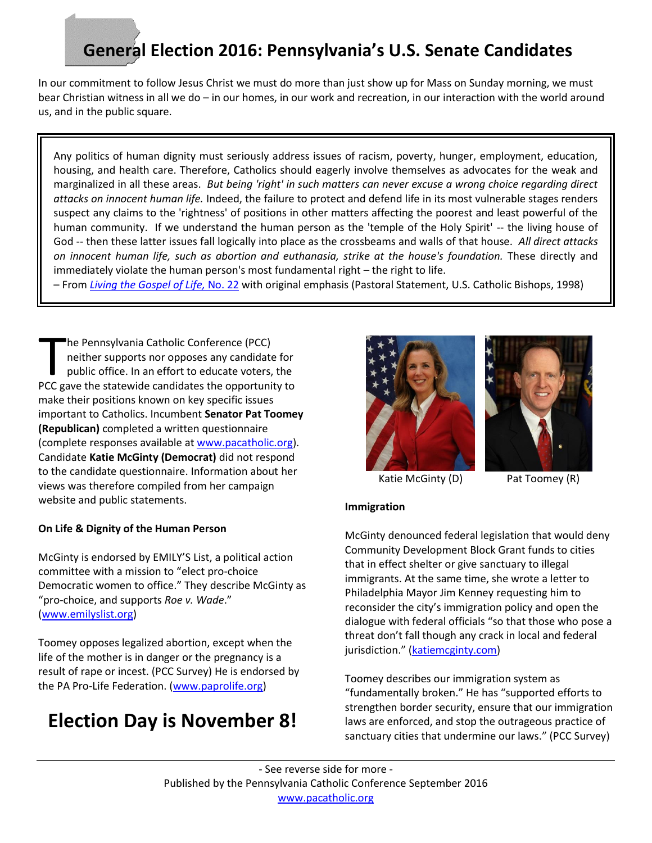# **General Election 2016: Pennsylvania's U.S. Senate Candidates**

In our commitment to follow Jesus Christ we must do more than just show up for Mass on Sunday morning, we must bear Christian witness in all we do – in our homes, in our work and recreation, in our interaction with the world around us, and in the public square.

Any politics of human dignity must seriously address issues of racism, poverty, hunger, employment, education, housing, and health care. Therefore, Catholics should eagerly involve themselves as advocates for the weak and marginalized in all these areas. *But being 'right' in such matters can never excuse a wrong choice regarding direct attacks on innocent human life.* Indeed, the failure to protect and defend life in its most vulnerable stages renders suspect any claims to the 'rightness' of positions in other matters affecting the poorest and least powerful of the human community. If we understand the human person as the 'temple of the Holy Spirit' -- the living house of God -- then these latter issues fall logically into place as the crossbeams and walls of that house. *All direct attacks on innocent human life, such as abortion and euthanasia, strike at the house's foundation.* These directly and immediately violate the human person's most fundamental right – the right to life.

– From *[Living the Gospel of Life,](http://www.usccb.org/issues-and-action/human-life-and-dignity/abortion/living-the-gospel-of-life.cfm)* No. 22 with original emphasis (Pastoral Statement, U.S. Catholic Bishops, 1998)

he Pennsylvania Catholic Conference (PCC) neither supports nor opposes any candidate for public office. In an effort to educate voters, the The Pennsylvania Catholic Conference (PCC)<br>
neither supports nor opposes any candidate for<br>
public office. In an effort to educate voters, the<br>
PCC gave the statewide candidates the opportunity to make their positions known on key specific issues important to Catholics. Incumbent **Senator Pat Toomey (Republican)** completed a written questionnaire (complete responses available at [www.pacatholic.org\)](http://www.pacatholic.org/). Candidate **Katie McGinty (Democrat)** did not respond to the candidate questionnaire. Information about her views was therefore compiled from her campaign website and public statements.

#### **On Life & Dignity of the Human Person**

McGinty is endorsed by EMILY'S List, a political action committee with a mission to "elect pro-choice Democratic women to office." They describe McGinty as "pro-choice, and supports *Roe v. Wade*." [\(www.emilyslist.org\)](http://www.emilyslist.org/candidates/katie-mcginty)

Toomey opposes legalized abortion, except when the life of the mother is in danger or the pregnancy is a result of rape or incest. (PCC Survey) He is endorsed by the PA Pro-Life Federation. [\(www.paprolife.org\)](http://static1.squarespace.com/static/523601dbe4b0ca787576aa3b/t/57755d13ff7c50f318d739ce/1467309334682/2016+Senate+Toomey+McGinty+comparison+piece.pdf)

## **Election Day is November 8!**





Katie McGinty (D) Pat Toomey (R)

#### **Immigration**

McGinty denounced federal legislation that would deny Community Development Block Grant funds to cities that in effect shelter or give sanctuary to illegal immigrants. At the same time, she wrote a letter to Philadelphia Mayor Jim Kenney requesting him to reconsider the city's immigration policy and open the dialogue with federal officials "so that those who pose a threat don't fall though any crack in local and federal jurisdiction." ([katiemcginty.com\)](http://katiemcginty.com/mcginty-opposes-toomeys-bill-punish-philadelphia-cut-nearly-40-million-federal-funds-city/)

Toomey describes our immigration system as "fundamentally broken." He has "supported efforts to strengthen border security, ensure that our immigration laws are enforced, and stop the outrageous practice of sanctuary cities that undermine our laws." (PCC Survey)